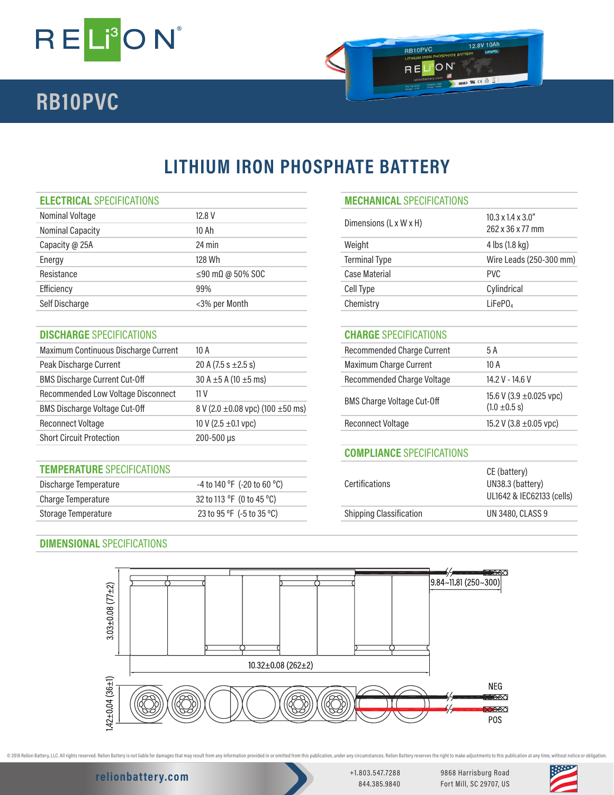

# **RB10PVC**

## **LITHIUM IRON PHOSPHATE BATTERY**

| Nominal Voltage  | 12.8 V                         |                        | $10.3 \times 1.4 \times 3.0$ " |
|------------------|--------------------------------|------------------------|--------------------------------|
| Nominal Capacity | 10 Ah                          | Dimensions (L x W x H) | 262 x 36 x 77 mm               |
| Capacity @ 25A   | $24 \text{ min}$               | Weight                 | 4 lbs (1.8 kg)                 |
| Energy           | 128 Wh                         | <b>Terminal Type</b>   | Wire Leads (250-               |
| Resistance       | $\leq$ 90 m $\Omega$ @ 50% SOC | Case Material          | <b>PVC</b>                     |
| Efficiency       | 99%                            | Cell Type              | Cylindrical                    |
| Self Discharge   | <3% per Month                  | Chemistry              | LiFePO <sub>4</sub>            |
|                  |                                |                        |                                |

### **DISCHARGE** SPECIFICATIONS **CHARGE** SPECIFICATIONS

| Maximum Continuous Discharge Current | 10 A                                       | <b>Recommended Charge Current</b>                      | 5 A                    |
|--------------------------------------|--------------------------------------------|--------------------------------------------------------|------------------------|
| Peak Discharge Current               | 20 A $(7.5 s \pm 2.5 s)$                   | <b>Maximum Charge Current</b>                          | 10 A                   |
| <b>BMS Discharge Current Cut-Off</b> | 30 A $\pm$ 5 A (10 $\pm$ 5 ms)             | Recommended Charge Voltage                             | 14.2 V - 14.6 V        |
| Recommended Low Voltage Disconnect   | 11 V                                       | <b>BMS Charge Voltage Cut-Off</b><br>$(1.0 \pm 0.5 s)$ | 15.6 V (3.9 ±0.025 vpo |
| <b>BMS Discharge Voltage Cut-Off</b> | 8 V (2.0 $\pm$ 0.08 vpc) (100 $\pm$ 50 ms) |                                                        |                        |
| <b>Reconnect Voltage</b>             | 10 V (2.5 $\pm$ 0.1 vpc)                   | <b>Reconnect Voltage</b>                               | 15.2 V (3.8 ±0.05 vpc) |
| <b>Short Circuit Protection</b>      | 200-500 µs                                 |                                                        |                        |

### **TEMPERATURE** SPECIFICATIONS

| Discharge Temperature | -4 to 140 °F(-20 to 60 °C) | <b>Certifications</b>          | UN38.3 (battery)        |
|-----------------------|----------------------------|--------------------------------|-------------------------|
| Charge Temperature    | 32 to 113 °F (0 to 45 °C)  |                                | UL1642 & IEC6213        |
| Storage Temperature   | 23 to 95 °F (-5 to 35 °C)  | <b>Shipping Classification</b> | <b>UN 3480, CLASS 9</b> |

# **ELECTRICAL** SPECIFICATIONS **MECHANICAL** SPECIFICATIONS Dimensions (L x W x H) 10.3 x 1.4 x 3.0"<br>262 x 36 x 77 mm Terminal Type Wire Leads (250-300 mm)

12.8V 10Ah

av ce  $\triangle$   $\triangle$ 

RB10PVC

RELION

| <b>Recommended Charge Current</b> | 5 A                                               |
|-----------------------------------|---------------------------------------------------|
| Maximum Charge Current            | 10 A                                              |
| Recommended Charge Voltage        | $14.2 V - 14.6 V$                                 |
| <b>BMS Charge Voltage Cut-Off</b> | 15.6 V (3.9 $\pm$ 0.025 vpc)<br>$(1.0 \pm 0.5 s)$ |
| Reconnect Voltage                 | 15.2 V (3.8 $\pm$ 0.05 vpc)                       |
|                                   |                                                   |

### **COMPLIANCE** SPECIFICATIONS

| <b>Certifications</b>          | CE (battery)<br>UN38.3 (battery)<br>UL1642 & IEC62133 (cells) |
|--------------------------------|---------------------------------------------------------------|
| <b>Shipping Classification</b> | <b>UN 3480, CLASS 9</b>                                       |
|                                |                                                               |

### **DIMENSIONAL** SPECIFICATIONS



**relionbattery.com** +1.803.547.7288

@ 2018 Relion Battery, LLC. All rights reserved. Relion Battery is not liable for damages that may result from any information provided in or omitted from this publication, under any orcumstances. Relion Battery reserves t

844.385.9840

9868 Harrisburg Road Fort Mill, SC 29707, US